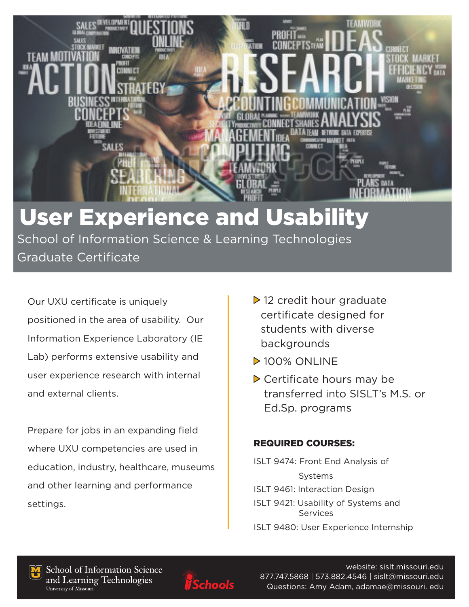

# User Experience and Usability

 School of Information Science & Learning Technologies Graduate Certificate

Our UXU certificate is uniquely positioned in the area of usability. Our Information Experience Laboratory (IE Lab) performs extensive usability and user experience research with internal and external clients.

Prepare for jobs in an expanding field where UXU competencies are used in education, industry, healthcare, museums and other learning and performance settings.

- $\triangleright$  12 credit hour graduate certificate designed for students with diverse backgrounds
- **Dealer 100% ONLINE**
- ▶ Certificate hours may be transferred into SISLT's M.S. or Ed.Sp. programs

### REQUIRED COURSES:

- ISLT 9474: Front End Analysis of Systems ISLT 9461: Interaction Design ISLT 9421: Usability of Systems and Services
- ISLT 9480: User Experience Internship